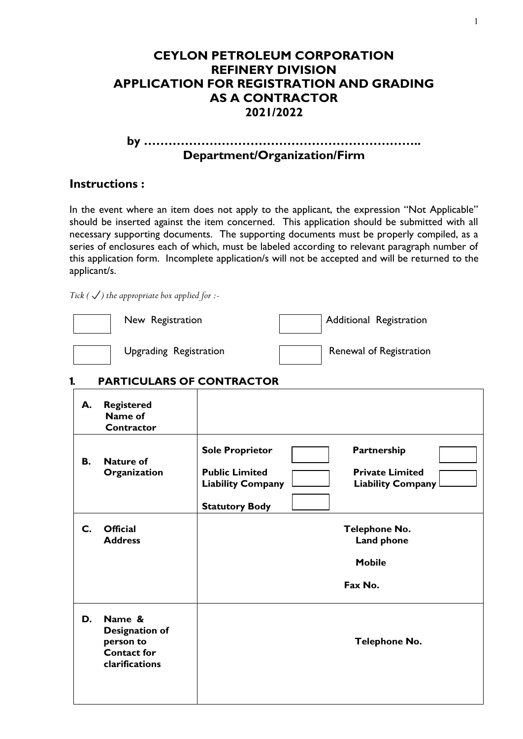## **CEYLON PETROLEUM CORPORATION REFINERY DIVISION APPLICATION FOR REGISTRATION AND GRADING AS A CONTRACTOR 2021/2022**

### **by ………………………………………………………….. Department/Organization/Firm**

### **Instructions :**

In the event where an item does not apply to the applicant, the expression "Not Applicable" should be inserted against the item concerned. This application should be submitted with all necessary supporting documents. The supporting documents must be properly compiled, as a series of enclosures each of which, must be labeled according to relevant paragraph number of this application form. Incomplete application/s will not be accepted and will be returned to the applicant/s.

*Tick* ( $\checkmark$ ) the appropriate box applied for :-

| New Registration       | Additional Registration |
|------------------------|-------------------------|
| Upgrading Registration | Renewal of Registration |

## 1. **PARTICULARS OF CONTRACTOR**

| А.             | <b>Registered</b><br>Name of<br>Contractor                                           |                                                                                                                                                                           |
|----------------|--------------------------------------------------------------------------------------|---------------------------------------------------------------------------------------------------------------------------------------------------------------------------|
| В.             | <b>Nature of</b><br>Organization                                                     | Partnership<br><b>Sole Proprietor</b><br><b>Public Limited</b><br><b>Private Limited</b><br><b>Liability Company</b><br><b>Liability Company</b><br><b>Statutory Body</b> |
| $\mathsf{C}$ . | <b>Official</b><br><b>Address</b>                                                    | <b>Telephone No.</b><br><b>Land phone</b><br><b>Mobile</b><br>Fax No.                                                                                                     |
| D.             | Name &<br><b>Designation of</b><br>person to<br><b>Contact for</b><br>clarifications | <b>Telephone No.</b>                                                                                                                                                      |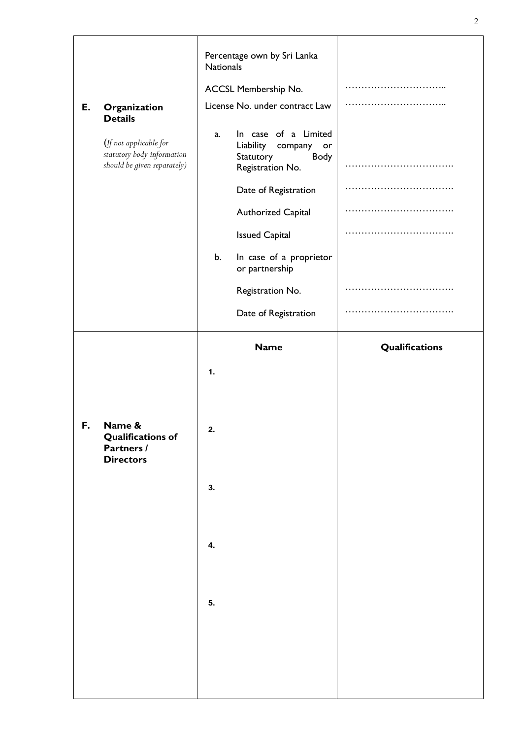|    |                                                                                     | Percentage own by Sri Lanka<br><b>Nationals</b>                                     |                |
|----|-------------------------------------------------------------------------------------|-------------------------------------------------------------------------------------|----------------|
|    |                                                                                     | ACCSL Membership No.                                                                |                |
| Е. | Organization<br><b>Details</b>                                                      | License No. under contract Law                                                      |                |
|    | (If not applicable for<br>statutory body information<br>should be given separately) | In case of a Limited<br>a.<br>Liability company or<br>Statutory<br>Registration No. | Body<br>.      |
|    |                                                                                     | Date of Registration                                                                |                |
|    |                                                                                     | <b>Authorized Capital</b>                                                           |                |
|    |                                                                                     | <b>Issued Capital</b>                                                               |                |
|    |                                                                                     | b.<br>In case of a proprietor<br>or partnership                                     |                |
|    |                                                                                     | Registration No.                                                                    |                |
|    |                                                                                     | Date of Registration                                                                | .              |
|    |                                                                                     | <b>Name</b>                                                                         | Qualifications |
|    |                                                                                     | $\mathbf{1}$ .                                                                      |                |
| F. | Name &<br><b>Qualifications of</b><br>Partners /<br><b>Directors</b>                | 2.                                                                                  |                |
|    |                                                                                     | 3.                                                                                  |                |
|    |                                                                                     | 4.                                                                                  |                |
|    |                                                                                     | 5.                                                                                  |                |
|    |                                                                                     |                                                                                     |                |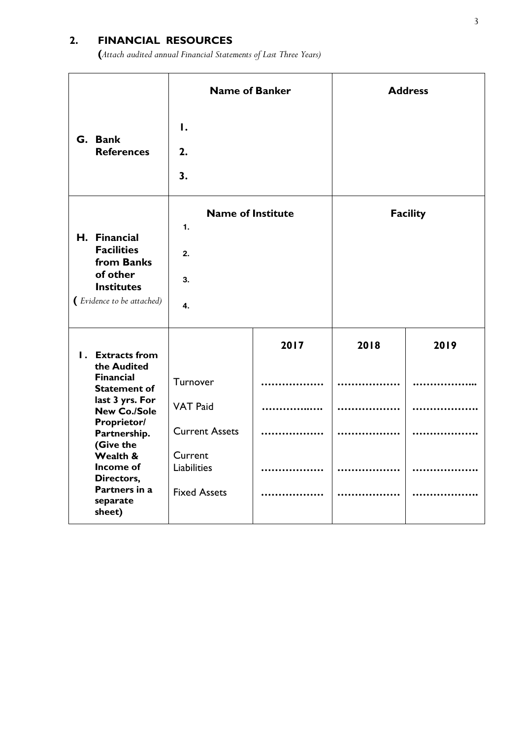# **2. FINANCIAL RESOURCES**

**(***Attach audited annual Financial Statements of Last Three Years)*

|                                                                                                               | <b>Name of Banker</b>                            |      | <b>Address</b> |                 |
|---------------------------------------------------------------------------------------------------------------|--------------------------------------------------|------|----------------|-----------------|
| G. Bank<br><b>References</b>                                                                                  | 1.<br>2.<br>3.                                   |      |                |                 |
| H. Financial<br><b>Facilities</b><br>from Banks<br>of other<br><b>Institutes</b><br>(Evidence to be attached) | <b>Name of Institute</b><br>1.<br>2.<br>3.<br>4. |      |                | <b>Facility</b> |
| <b>I.</b> Extracts from<br>the Audited                                                                        |                                                  | 2017 | 2018           | 2019            |
| <b>Financial</b><br><b>Statement of</b>                                                                       | Turnover                                         |      |                |                 |
| last 3 yrs. For<br><b>New Co./Sole</b>                                                                        | <b>VAT Paid</b>                                  |      |                |                 |
| <b>Proprietor/</b><br>Partnership.                                                                            | <b>Current Assets</b>                            |      |                |                 |
| (Give the<br>Wealth &<br>Income of<br>Directors,                                                              | Current<br><b>Liabilities</b>                    |      |                |                 |
| Partners in a<br>separate<br>sheet)                                                                           | <b>Fixed Assets</b>                              |      |                |                 |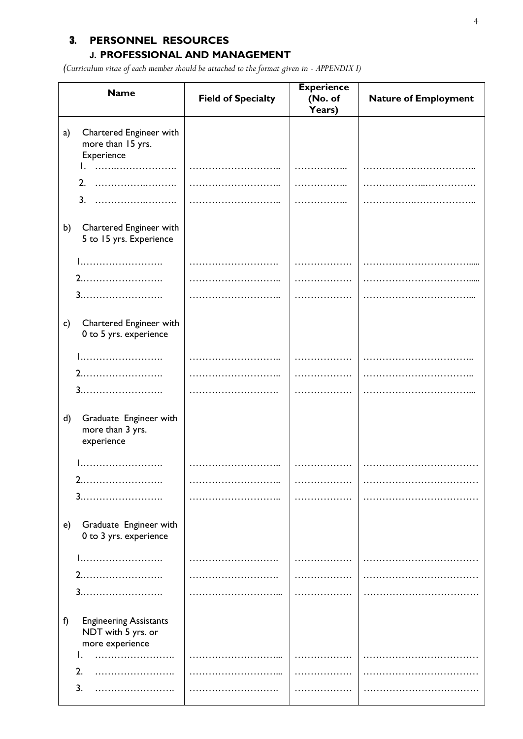## 3. **PERSONNEL RESOURCES**

## **J. PROFESSIONAL AND MANAGEMENT**

*(Curriculum vitae of each member should be attached to the format given in - APPENDIX I)*

|              | <b>Name</b>                                                            | <b>Field of Specialty</b> | <b>Experience</b><br>(No. of<br>Years) | <b>Nature of Employment</b> |
|--------------|------------------------------------------------------------------------|---------------------------|----------------------------------------|-----------------------------|
| a)           | Chartered Engineer with<br>more than 15 yrs.<br>Experience             |                           |                                        |                             |
|              |                                                                        |                           |                                        |                             |
|              | 2.                                                                     |                           |                                        |                             |
|              | 3.                                                                     |                           |                                        |                             |
| b)           | Chartered Engineer with<br>5 to 15 yrs. Experience                     |                           |                                        |                             |
|              | 1                                                                      |                           |                                        |                             |
|              |                                                                        |                           |                                        |                             |
|              | 3.<br>.                                                                |                           |                                        |                             |
| $\mathsf{c}$ | Chartered Engineer with<br>0 to 5 yrs. experience                      |                           |                                        |                             |
|              | 1                                                                      |                           |                                        |                             |
|              |                                                                        |                           |                                        |                             |
|              | 3.                                                                     |                           |                                        |                             |
| $\mathsf{d}$ | Graduate Engineer with<br>more than 3 yrs.<br>experience               |                           |                                        |                             |
|              | .                                                                      |                           |                                        |                             |
|              | $\mathbf{2}$<br>.                                                      |                           |                                        |                             |
|              | 3.<br>. <b>.</b>                                                       |                           |                                        |                             |
| e)           | Graduate Engineer with<br>0 to 3 yrs. experience                       |                           |                                        |                             |
|              |                                                                        |                           |                                        |                             |
|              | 2.<br>.                                                                |                           |                                        |                             |
|              | 3.<br>.                                                                |                           |                                        |                             |
| f)           | <b>Engineering Assistants</b><br>NDT with 5 yrs. or<br>more experience |                           |                                        |                             |
|              |                                                                        |                           |                                        |                             |
|              | 2.                                                                     |                           |                                        |                             |
|              | 3.                                                                     |                           |                                        |                             |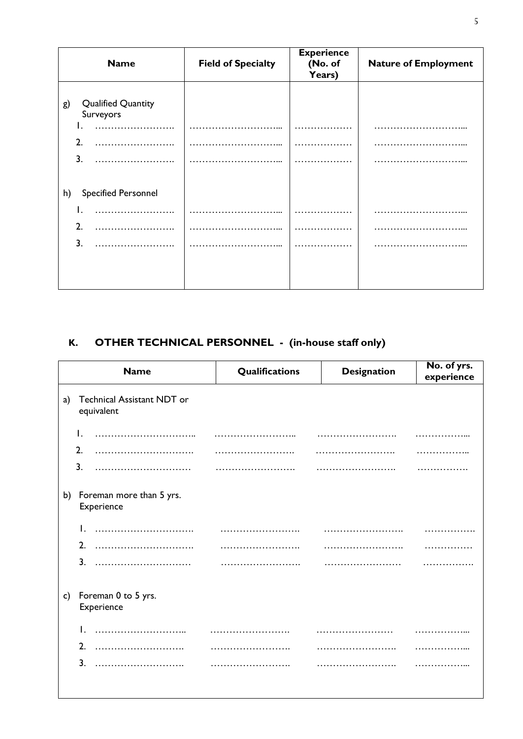| <b>Name</b>                                  | <b>Field of Specialty</b> | <b>Experience</b><br>(No. of<br>Years) | <b>Nature of Employment</b> |
|----------------------------------------------|---------------------------|----------------------------------------|-----------------------------|
|                                              |                           |                                        |                             |
| <b>Qualified Quantity</b><br>g)<br>Surveyors |                           |                                        |                             |
|                                              |                           |                                        |                             |
| $\overline{2}$                               |                           |                                        |                             |
| $\overline{3}$ .                             |                           |                                        |                             |
|                                              |                           |                                        |                             |
| <b>Specified Personnel</b><br>h)             |                           |                                        |                             |
|                                              |                           |                                        |                             |
| 2.                                           |                           |                                        |                             |
| 3.                                           |                           |                                        |                             |
|                                              |                           |                                        |                             |
|                                              |                           |                                        |                             |
|                                              |                           |                                        |                             |

# **K. OTHER TECHNICAL PERSONNEL - (in-house staff only)**

 $\overline{\phantom{a}}$ 

|    | <b>Name</b>                              | Qualifications | <b>Designation</b> | No. of yrs.<br>experience |
|----|------------------------------------------|----------------|--------------------|---------------------------|
| a) | Technical Assistant NDT or<br>equivalent |                |                    |                           |
|    | Ι.                                       |                |                    |                           |
|    | 2.                                       |                |                    |                           |
|    | 3.                                       |                |                    |                           |
| b) | Foreman more than 5 yrs.<br>Experience   |                |                    |                           |
|    |                                          |                |                    |                           |
|    | 2.                                       |                |                    |                           |
|    | 3.                                       |                |                    |                           |
| c) | Foreman 0 to 5 yrs.<br>Experience        |                |                    |                           |
|    | Ι.                                       |                |                    |                           |
|    | 2.                                       |                |                    |                           |
|    | 3 <sub>1</sub>                           |                |                    |                           |
|    |                                          |                |                    |                           |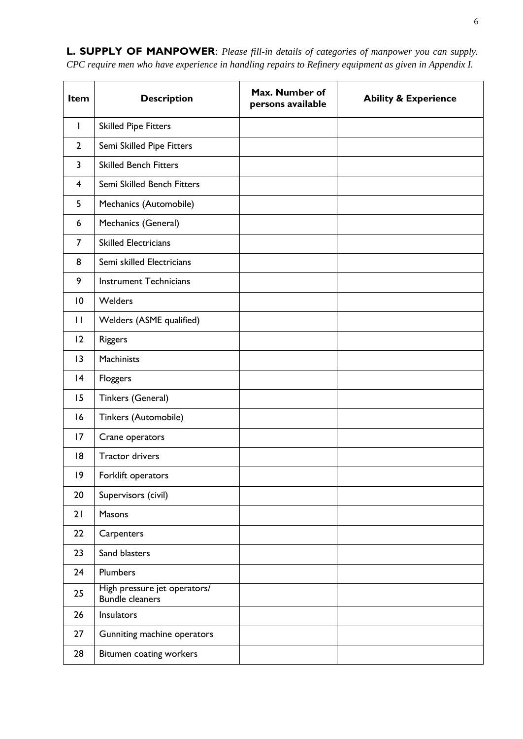| Item           | <b>Description</b>                                     | Max. Number of<br>persons available | <b>Ability &amp; Experience</b> |
|----------------|--------------------------------------------------------|-------------------------------------|---------------------------------|
| $\mathbf{I}$   | <b>Skilled Pipe Fitters</b>                            |                                     |                                 |
| $\overline{2}$ | Semi Skilled Pipe Fitters                              |                                     |                                 |
| 3              | <b>Skilled Bench Fitters</b>                           |                                     |                                 |
| 4              | Semi Skilled Bench Fitters                             |                                     |                                 |
| 5              | Mechanics (Automobile)                                 |                                     |                                 |
| 6              | Mechanics (General)                                    |                                     |                                 |
| $\overline{7}$ | <b>Skilled Electricians</b>                            |                                     |                                 |
| 8              | Semi skilled Electricians                              |                                     |                                 |
| 9              | <b>Instrument Technicians</b>                          |                                     |                                 |
| 10             | <b>Welders</b>                                         |                                     |                                 |
| $\mathbf{H}$   | Welders (ASME qualified)                               |                                     |                                 |
| 12             | <b>Riggers</b>                                         |                                     |                                 |
| 13             | Machinists                                             |                                     |                                 |
| 4              | Floggers                                               |                                     |                                 |
| 15             | Tinkers (General)                                      |                                     |                                 |
| 16             | Tinkers (Automobile)                                   |                                     |                                 |
| 17             | Crane operators                                        |                                     |                                 |
| 8              | <b>Tractor drivers</b>                                 |                                     |                                 |
| $ 9\rangle$    | Forklift operators                                     |                                     |                                 |
| 20             | Supervisors (civil)                                    |                                     |                                 |
| 21             | Masons                                                 |                                     |                                 |
| 22             | Carpenters                                             |                                     |                                 |
| 23             | Sand blasters                                          |                                     |                                 |
| 24             | <b>Plumbers</b>                                        |                                     |                                 |
| 25             | High pressure jet operators/<br><b>Bundle cleaners</b> |                                     |                                 |
| 26             | Insulators                                             |                                     |                                 |
| 27             | Gunniting machine operators                            |                                     |                                 |
| 28             | Bitumen coating workers                                |                                     |                                 |

**L. SUPPLY OF MANPOWER**: *Please fill-in details of categories of manpower you can supply. CPC require men who have experience in handling repairs to Refinery equipment as given in Appendix I.*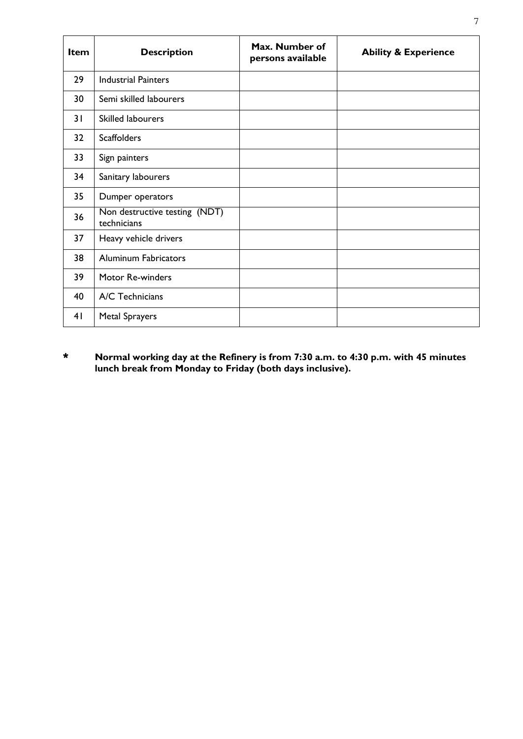| <b>Item</b> | <b>Description</b>                           | Max. Number of<br>persons available | <b>Ability &amp; Experience</b> |
|-------------|----------------------------------------------|-------------------------------------|---------------------------------|
| 29          | <b>Industrial Painters</b>                   |                                     |                                 |
| 30          | Semi skilled labourers                       |                                     |                                 |
| 31          | <b>Skilled labourers</b>                     |                                     |                                 |
| 32          | <b>Scaffolders</b>                           |                                     |                                 |
| 33          | Sign painters                                |                                     |                                 |
| 34          | Sanitary labourers                           |                                     |                                 |
| 35          | Dumper operators                             |                                     |                                 |
| 36          | Non destructive testing (NDT)<br>technicians |                                     |                                 |
| 37          | Heavy vehicle drivers                        |                                     |                                 |
| 38          | <b>Aluminum Fabricators</b>                  |                                     |                                 |
| 39          | Motor Re-winders                             |                                     |                                 |
| 40          | A/C Technicians                              |                                     |                                 |
| 41          | <b>Metal Sprayers</b>                        |                                     |                                 |

\* **Normal working day at the Refinery is from 7:30 a.m. to 4:30 p.m. with 45 minutes lunch break from Monday to Friday (both days inclusive).**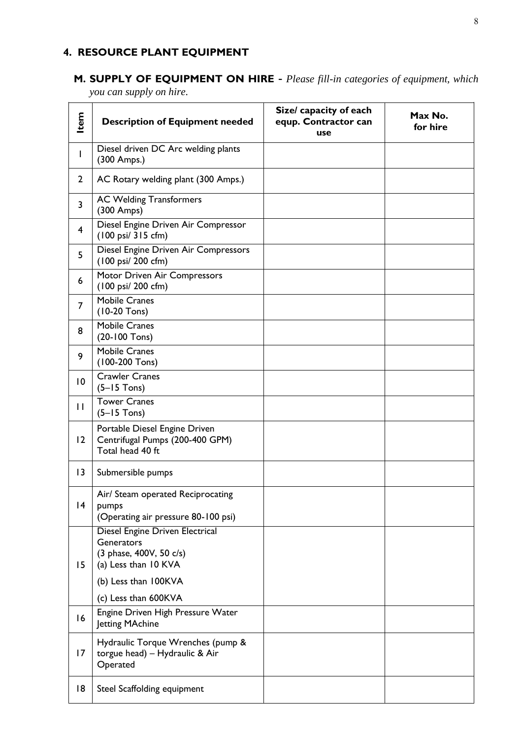# **4. RESOURCE PLANT EQUIPMENT**

# **M. SUPPLY OF EQUIPMENT ON HIRE -** *Please fill-in categories of equipment, which*

*you can supply on hire.* 

| Item            | <b>Description of Equipment needed</b>                                                           | Size/ capacity of each<br>equp. Contractor can<br>use | Max No.<br>for hire |
|-----------------|--------------------------------------------------------------------------------------------------|-------------------------------------------------------|---------------------|
| I               | Diesel driven DC Arc welding plants<br>(300 Amps.)                                               |                                                       |                     |
| $\overline{2}$  | AC Rotary welding plant (300 Amps.)                                                              |                                                       |                     |
| 3               | <b>AC Welding Transformers</b><br>(300 Amps)                                                     |                                                       |                     |
| 4               | Diesel Engine Driven Air Compressor<br>(100 psi/ 315 cfm)                                        |                                                       |                     |
| 5               | Diesel Engine Driven Air Compressors<br>(100 psi/ 200 cfm)                                       |                                                       |                     |
| 6               | Motor Driven Air Compressors<br>(100 psi/ 200 cfm)                                               |                                                       |                     |
| 7               | <b>Mobile Cranes</b><br>$(10-20$ Tons)                                                           |                                                       |                     |
| 8               | <b>Mobile Cranes</b><br>(20-100 Tons)                                                            |                                                       |                     |
| 9               | <b>Mobile Cranes</b><br>(100-200 Tons)                                                           |                                                       |                     |
| $\overline{10}$ | <b>Crawler Cranes</b><br>$(5-15$ Tons)                                                           |                                                       |                     |
| $\mathbf{I}$    | <b>Tower Cranes</b><br>$(5-15$ Tons)                                                             |                                                       |                     |
| 12              | Portable Diesel Engine Driven<br>Centrifugal Pumps (200-400 GPM)<br>Total head 40 ft             |                                                       |                     |
| 3               | Submersible pumps                                                                                |                                                       |                     |
| 4               | Air/ Steam operated Reciprocating<br>pumps<br>(Operating air pressure 80-100 psi)                |                                                       |                     |
| 15              | Diesel Engine Driven Electrical<br>Generators<br>(3 phase, 400V, 50 c/s)<br>(a) Less than 10 KVA |                                                       |                     |
|                 | (b) Less than 100KVA                                                                             |                                                       |                     |
|                 | (c) Less than 600KVA                                                                             |                                                       |                     |
| 16              | Engine Driven High Pressure Water<br>Jetting MAchine                                             |                                                       |                     |
| 17              | Hydraulic Torque Wrenches (pump &<br>torgue head) - Hydraulic & Air<br>Operated                  |                                                       |                     |
| 18              | Steel Scaffolding equipment                                                                      |                                                       |                     |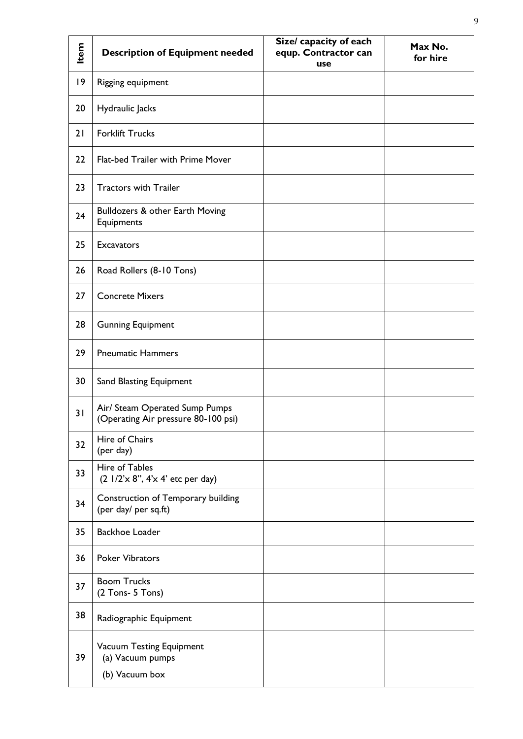| Item | <b>Description of Equipment needed</b>                                | Size/ capacity of each<br>equp. Contractor can<br>use | Max No.<br>for hire |
|------|-----------------------------------------------------------------------|-------------------------------------------------------|---------------------|
| 9    | Rigging equipment                                                     |                                                       |                     |
| 20   | Hydraulic Jacks                                                       |                                                       |                     |
| 21   | <b>Forklift Trucks</b>                                                |                                                       |                     |
| 22   | Flat-bed Trailer with Prime Mover                                     |                                                       |                     |
| 23   | <b>Tractors with Trailer</b>                                          |                                                       |                     |
| 24   | Bulldozers & other Earth Moving<br>Equipments                         |                                                       |                     |
| 25   | <b>Excavators</b>                                                     |                                                       |                     |
| 26   | Road Rollers (8-10 Tons)                                              |                                                       |                     |
| 27   | <b>Concrete Mixers</b>                                                |                                                       |                     |
| 28   | <b>Gunning Equipment</b>                                              |                                                       |                     |
| 29   | <b>Pneumatic Hammers</b>                                              |                                                       |                     |
| 30   | Sand Blasting Equipment                                               |                                                       |                     |
| 31   | Air/ Steam Operated Sump Pumps<br>(Operating Air pressure 80-100 psi) |                                                       |                     |
| 32   | Hire of Chairs<br>(per day)                                           |                                                       |                     |
| 33   | Hire of Tables<br>(2 1/2'x 8", 4'x 4' etc per day)                    |                                                       |                     |
| 34   | Construction of Temporary building<br>(per day/ per sq.ft)            |                                                       |                     |
| 35   | <b>Backhoe Loader</b>                                                 |                                                       |                     |
| 36   | <b>Poker Vibrators</b>                                                |                                                       |                     |
| 37   | <b>Boom Trucks</b><br>(2 Tons- 5 Tons)                                |                                                       |                     |
| 38   | Radiographic Equipment                                                |                                                       |                     |
| 39   | Vacuum Testing Equipment<br>(a) Vacuum pumps<br>(b) Vacuum box        |                                                       |                     |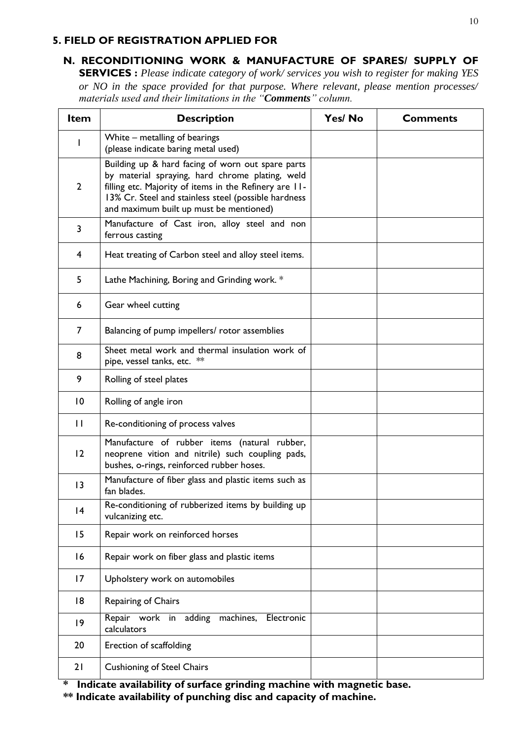### **5. FIELD OF REGISTRATION APPLIED FOR**

## **N. RECONDITIONING WORK & MANUFACTURE OF SPARES/ SUPPLY OF**

**SERVICES :** *Please indicate category of work/ services you wish to register for making YES or NO in the space provided for that purpose. Where relevant, please mention processes/ materials used and their limitations in the "Comments" column.*

| <b>Item</b>     | <b>Description</b>                                                                                                                                                                                                                                                | Yes/No | <b>Comments</b> |
|-----------------|-------------------------------------------------------------------------------------------------------------------------------------------------------------------------------------------------------------------------------------------------------------------|--------|-----------------|
|                 | White - metalling of bearings<br>(please indicate baring metal used)                                                                                                                                                                                              |        |                 |
| $\overline{2}$  | Building up & hard facing of worn out spare parts<br>by material spraying, hard chrome plating, weld<br>filling etc. Majority of items in the Refinery are 11-<br>13% Cr. Steel and stainless steel (possible hardness<br>and maximum built up must be mentioned) |        |                 |
| 3               | Manufacture of Cast iron, alloy steel and non<br>ferrous casting                                                                                                                                                                                                  |        |                 |
| 4               | Heat treating of Carbon steel and alloy steel items.                                                                                                                                                                                                              |        |                 |
| 5               | Lathe Machining, Boring and Grinding work. *                                                                                                                                                                                                                      |        |                 |
| 6               | Gear wheel cutting                                                                                                                                                                                                                                                |        |                 |
| $\overline{7}$  | Balancing of pump impellers/ rotor assemblies                                                                                                                                                                                                                     |        |                 |
| 8               | Sheet metal work and thermal insulation work of<br>pipe, vessel tanks, etc. **                                                                                                                                                                                    |        |                 |
| 9               | Rolling of steel plates                                                                                                                                                                                                                                           |        |                 |
| $\overline{10}$ | Rolling of angle iron                                                                                                                                                                                                                                             |        |                 |
| $\mathbf{H}$    | Re-conditioning of process valves                                                                                                                                                                                                                                 |        |                 |
| 12              | Manufacture of rubber items (natural rubber,<br>neoprene vition and nitrile) such coupling pads,<br>bushes, o-rings, reinforced rubber hoses.                                                                                                                     |        |                 |
| 3               | Manufacture of fiber glass and plastic items such as<br>fan blades.                                                                                                                                                                                               |        |                 |
| 4               | Re-conditioning of rubberized items by building up<br>vulcanizing etc.                                                                                                                                                                                            |        |                 |
| 15              | Repair work on reinforced horses                                                                                                                                                                                                                                  |        |                 |
| 16              | Repair work on fiber glass and plastic items                                                                                                                                                                                                                      |        |                 |
| 17              | Upholstery work on automobiles                                                                                                                                                                                                                                    |        |                 |
| 18              | Repairing of Chairs                                                                                                                                                                                                                                               |        |                 |
| $ 9\rangle$     | Repair work in adding machines,<br>Electronic<br>calculators                                                                                                                                                                                                      |        |                 |
| 20              | Erection of scaffolding                                                                                                                                                                                                                                           |        |                 |
| 21              | <b>Cushioning of Steel Chairs</b>                                                                                                                                                                                                                                 |        |                 |

**\* Indicate availability of surface grinding machine with magnetic base. \*\* Indicate availability of punching disc and capacity of machine.**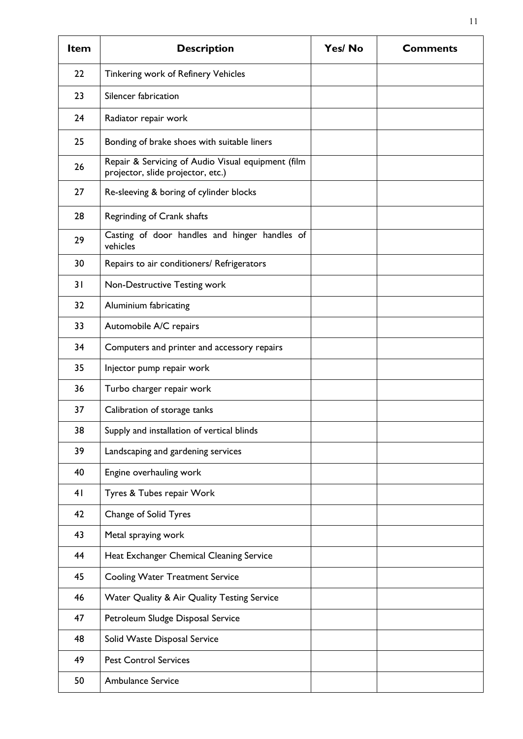| <b>Item</b> | <b>Description</b>                                                                      | Yes/No | <b>Comments</b> |
|-------------|-----------------------------------------------------------------------------------------|--------|-----------------|
| 22          | Tinkering work of Refinery Vehicles                                                     |        |                 |
| 23          | Silencer fabrication                                                                    |        |                 |
| 24          | Radiator repair work                                                                    |        |                 |
| 25          | Bonding of brake shoes with suitable liners                                             |        |                 |
| 26          | Repair & Servicing of Audio Visual equipment (film<br>projector, slide projector, etc.) |        |                 |
| 27          | Re-sleeving & boring of cylinder blocks                                                 |        |                 |
| 28          | Regrinding of Crank shafts                                                              |        |                 |
| 29          | Casting of door handles and hinger handles of<br>vehicles                               |        |                 |
| 30          | Repairs to air conditioners/ Refrigerators                                              |        |                 |
| 31          | Non-Destructive Testing work                                                            |        |                 |
| 32          | Aluminium fabricating                                                                   |        |                 |
| 33          | Automobile A/C repairs                                                                  |        |                 |
| 34          | Computers and printer and accessory repairs                                             |        |                 |
| 35          | Injector pump repair work                                                               |        |                 |
| 36          | Turbo charger repair work                                                               |        |                 |
| 37          | Calibration of storage tanks                                                            |        |                 |
| 38          | Supply and installation of vertical blinds                                              |        |                 |
| 39          | Landscaping and gardening services                                                      |        |                 |
| 40          | Engine overhauling work                                                                 |        |                 |
| 41          | Tyres & Tubes repair Work                                                               |        |                 |
| 42          | Change of Solid Tyres                                                                   |        |                 |
| 43          | Metal spraying work                                                                     |        |                 |
| 44          | Heat Exchanger Chemical Cleaning Service                                                |        |                 |
| 45          | <b>Cooling Water Treatment Service</b>                                                  |        |                 |
| 46          | Water Quality & Air Quality Testing Service                                             |        |                 |
| 47          | Petroleum Sludge Disposal Service                                                       |        |                 |
| 48          | Solid Waste Disposal Service                                                            |        |                 |
| 49          | <b>Pest Control Services</b>                                                            |        |                 |
| 50          | <b>Ambulance Service</b>                                                                |        |                 |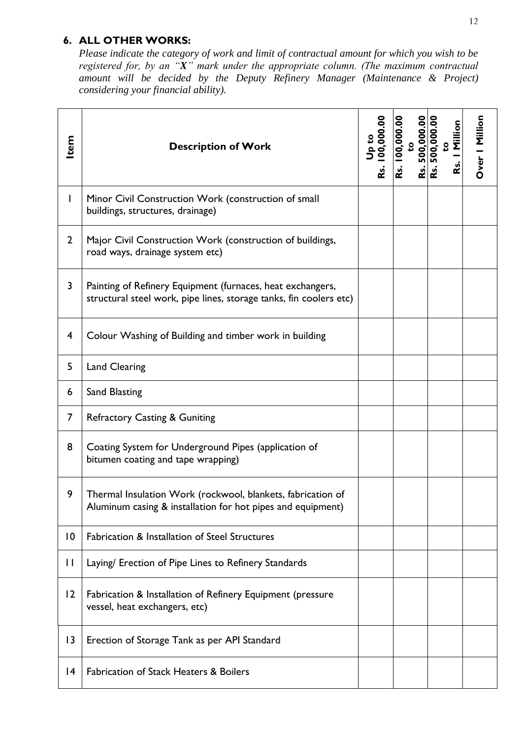### **6. ALL OTHER WORKS:**

*Please indicate the category of work and limit of contractual amount for which you wish to be registered for, by an "X" mark under the appropriate column. (The maximum contractual amount will be decided by the Deputy Refinery Manager (Maintenance & Project) considering your financial ability).*

| ltem           | <b>Description of Work</b>                                                                                                       | 00.00<br>ؿ | 100,000.00<br>500,000.00<br>Rs.<br>L | Million<br>500,000<br>$\mathbf{S}$<br>Rs.<br>≃ | Over   Million |
|----------------|----------------------------------------------------------------------------------------------------------------------------------|------------|--------------------------------------|------------------------------------------------|----------------|
| $\mathbf{I}$   | Minor Civil Construction Work (construction of small<br>buildings, structures, drainage)                                         |            |                                      |                                                |                |
| $\overline{2}$ | Major Civil Construction Work (construction of buildings,<br>road ways, drainage system etc)                                     |            |                                      |                                                |                |
| 3              | Painting of Refinery Equipment (furnaces, heat exchangers,<br>structural steel work, pipe lines, storage tanks, fin coolers etc) |            |                                      |                                                |                |
| $\overline{4}$ | Colour Washing of Building and timber work in building                                                                           |            |                                      |                                                |                |
| 5              | <b>Land Clearing</b>                                                                                                             |            |                                      |                                                |                |
| 6              | Sand Blasting                                                                                                                    |            |                                      |                                                |                |
| $\overline{7}$ | <b>Refractory Casting &amp; Guniting</b>                                                                                         |            |                                      |                                                |                |
| 8              | Coating System for Underground Pipes (application of<br>bitumen coating and tape wrapping)                                       |            |                                      |                                                |                |
| 9              | Thermal Insulation Work (rockwool, blankets, fabrication of<br>Aluminum casing & installation for hot pipes and equipment)       |            |                                      |                                                |                |
| $\overline{0}$ | <b>Fabrication &amp; Installation of Steel Structures</b>                                                                        |            |                                      |                                                |                |
| $\mathbf{I}$   | Laying/ Erection of Pipe Lines to Refinery Standards                                                                             |            |                                      |                                                |                |
| $ 2\rangle$    | Fabrication & Installation of Refinery Equipment (pressure<br>vessel, heat exchangers, etc)                                      |            |                                      |                                                |                |
| 3              | Erection of Storage Tank as per API Standard                                                                                     |            |                                      |                                                |                |
| 4              | <b>Fabrication of Stack Heaters &amp; Boilers</b>                                                                                |            |                                      |                                                |                |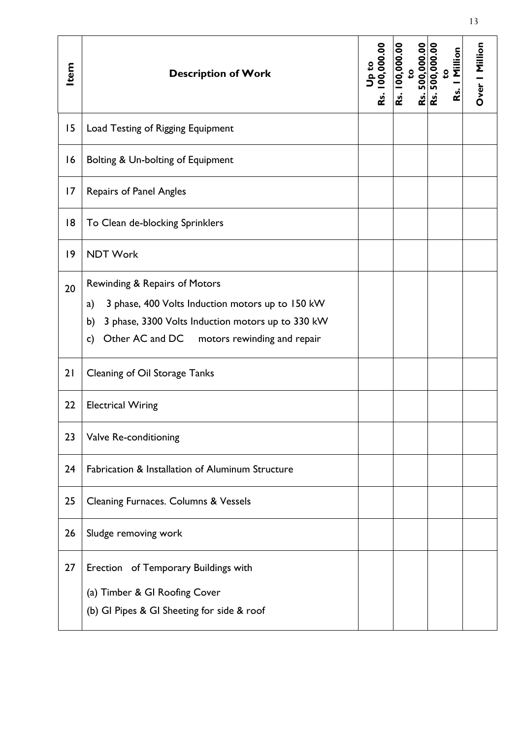| Item | <b>Description of Work</b>                                                                                                                                                                              | 00,000.00<br>Rs. | 100,000.00<br>500,000.00<br>Rs. | 500,000.00<br>Million<br>S<br><b>RS</b><br>ؿ | Over   Million |
|------|---------------------------------------------------------------------------------------------------------------------------------------------------------------------------------------------------------|------------------|---------------------------------|----------------------------------------------|----------------|
| 15   | Load Testing of Rigging Equipment                                                                                                                                                                       |                  |                                 |                                              |                |
| 16   | Bolting & Un-bolting of Equipment                                                                                                                                                                       |                  |                                 |                                              |                |
| 7    | <b>Repairs of Panel Angles</b>                                                                                                                                                                          |                  |                                 |                                              |                |
| 18   | To Clean de-blocking Sprinklers                                                                                                                                                                         |                  |                                 |                                              |                |
| 9    | <b>NDT Work</b>                                                                                                                                                                                         |                  |                                 |                                              |                |
| 20   | Rewinding & Repairs of Motors<br>3 phase, 400 Volts Induction motors up to 150 kW<br>a)<br>3 phase, 3300 Volts Induction motors up to 330 kW<br>b)<br>Other AC and DC motors rewinding and repair<br>c) |                  |                                 |                                              |                |
| 21   | Cleaning of Oil Storage Tanks                                                                                                                                                                           |                  |                                 |                                              |                |
| 22   | <b>Electrical Wiring</b>                                                                                                                                                                                |                  |                                 |                                              |                |
| 23   | Valve Re-conditioning                                                                                                                                                                                   |                  |                                 |                                              |                |
| 24   | Fabrication & Installation of Aluminum Structure                                                                                                                                                        |                  |                                 |                                              |                |
| 25   | Cleaning Furnaces. Columns & Vessels                                                                                                                                                                    |                  |                                 |                                              |                |
| 26   | Sludge removing work                                                                                                                                                                                    |                  |                                 |                                              |                |
| 27   | Erection of Temporary Buildings with<br>(a) Timber & GI Roofing Cover<br>(b) GI Pipes & GI Sheeting for side & roof                                                                                     |                  |                                 |                                              |                |

13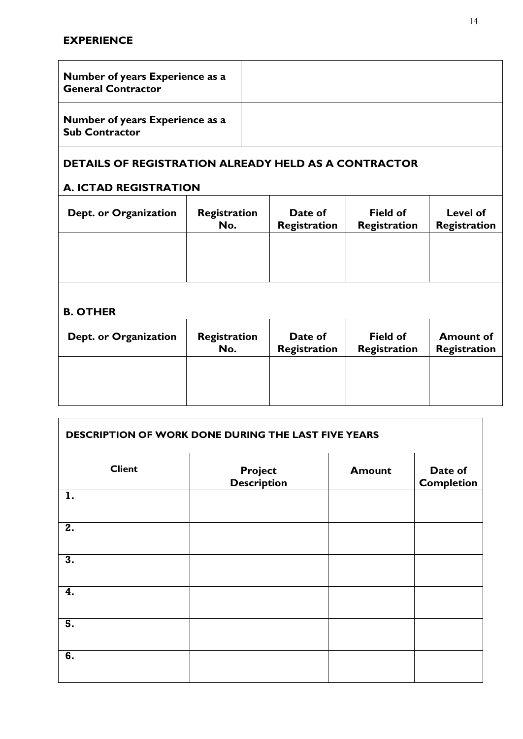| Number of years Experience as a<br><b>General Contractor</b> |  |
|--------------------------------------------------------------|--|
| Number of years Experience as a<br><b>Sub Contractor</b>     |  |

# **DETAILS OF REGISTRATION ALREADY HELD AS A CONTRACTOR**

### **A. ICTAD REGISTRATION**

| Dept. or Organization | Registration<br>No. | Date of<br><b>Registration</b> | <b>Field of</b><br><b>Registration</b> | Level of<br>Registration |
|-----------------------|---------------------|--------------------------------|----------------------------------------|--------------------------|
|                       |                     |                                |                                        |                          |
|                       |                     |                                |                                        |                          |

### **B. OTHER**

 $\Gamma$ 

| Dept. or Organization | Registration<br>No. | Date of<br><b>Registration</b> | <b>Field of</b><br><b>Registration</b> | <b>Amount of</b><br>Registration |
|-----------------------|---------------------|--------------------------------|----------------------------------------|----------------------------------|
|                       |                     |                                |                                        |                                  |
|                       |                     |                                |                                        |                                  |

| DESCRIPTION OF WORK DONE DURING THE LAST FIVE YEARS |                               |               |                              |  |
|-----------------------------------------------------|-------------------------------|---------------|------------------------------|--|
| <b>Client</b>                                       | Project<br><b>Description</b> | <b>Amount</b> | Date of<br><b>Completion</b> |  |
| 1.                                                  |                               |               |                              |  |
| 2.                                                  |                               |               |                              |  |
| 3.                                                  |                               |               |                              |  |
| 4.                                                  |                               |               |                              |  |
| 5.                                                  |                               |               |                              |  |
| 6.                                                  |                               |               |                              |  |

٦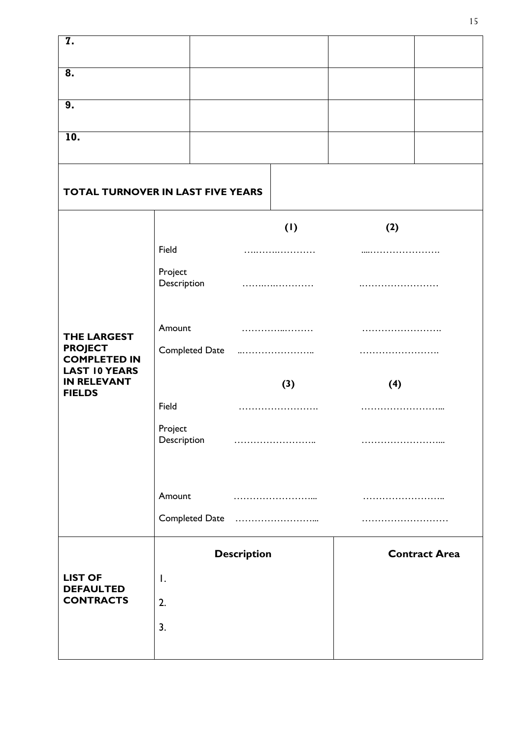| <b>7.</b>                                                     |                        |  |     |     |                      |
|---------------------------------------------------------------|------------------------|--|-----|-----|----------------------|
| 8.                                                            |                        |  |     |     |                      |
| 9.                                                            |                        |  |     |     |                      |
| 10.                                                           |                        |  |     |     |                      |
|                                                               |                        |  |     |     |                      |
| TOTAL TURNOVER IN LAST FIVE YEARS                             |                        |  |     |     |                      |
|                                                               |                        |  | (1) | (2) |                      |
|                                                               | Field                  |  |     |     |                      |
|                                                               | Project<br>Description |  | .   |     |                      |
| <b>THE LARGEST</b>                                            | Amount                 |  |     |     |                      |
| <b>PROJECT</b><br><b>COMPLETED IN</b><br><b>LAST 10 YEARS</b> | Completed Date         |  |     |     |                      |
| <b>IN RELEVANT</b><br><b>FIELDS</b>                           |                        |  | (3) | (4) |                      |
|                                                               | Field                  |  |     |     |                      |
|                                                               | Project<br>Description |  |     |     |                      |
|                                                               | Amount                 |  |     |     |                      |
|                                                               |                        |  |     |     |                      |
|                                                               | <b>Description</b>     |  |     |     | <b>Contract Area</b> |
| <b>LIST OF</b><br><b>DEFAULTED</b>                            | $\mathsf{I}$ .         |  |     |     |                      |
| <b>CONTRACTS</b>                                              | 2.                     |  |     |     |                      |
|                                                               | 3.                     |  |     |     |                      |
|                                                               |                        |  |     |     |                      |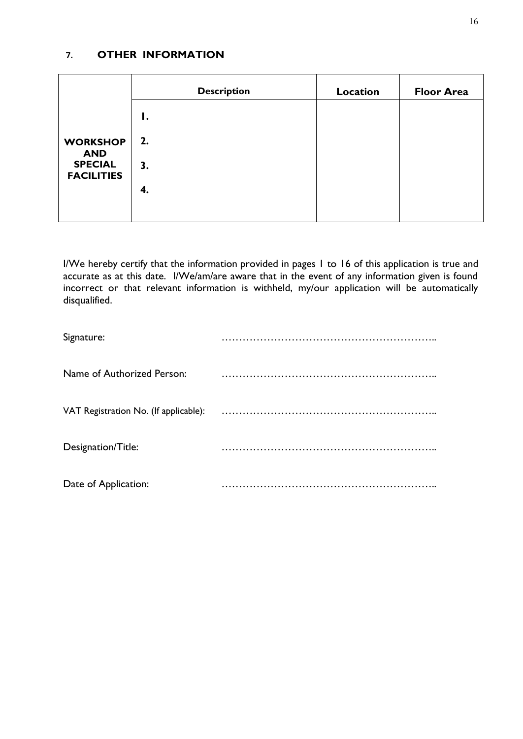### **7. OTHER INFORMATION**

|                                                   | <b>Description</b> | Location | <b>Floor Area</b> |
|---------------------------------------------------|--------------------|----------|-------------------|
|                                                   | Ι.                 |          |                   |
| <b>WORKSHOP</b>                                   | 2.                 |          |                   |
| <b>AND</b><br><b>SPECIAL</b><br><b>FACILITIES</b> | 3.                 |          |                   |
|                                                   | 4.                 |          |                   |
|                                                   |                    |          |                   |

I/We hereby certify that the information provided in pages 1 to 16 of this application is true and accurate as at this date. I/We/am/are aware that in the event of any information given is found incorrect or that relevant information is withheld, my/our application will be automatically disqualified.

| Signature:                            |  |
|---------------------------------------|--|
| Name of Authorized Person:            |  |
| VAT Registration No. (If applicable): |  |
| Designation/Title:                    |  |
| Date of Application:                  |  |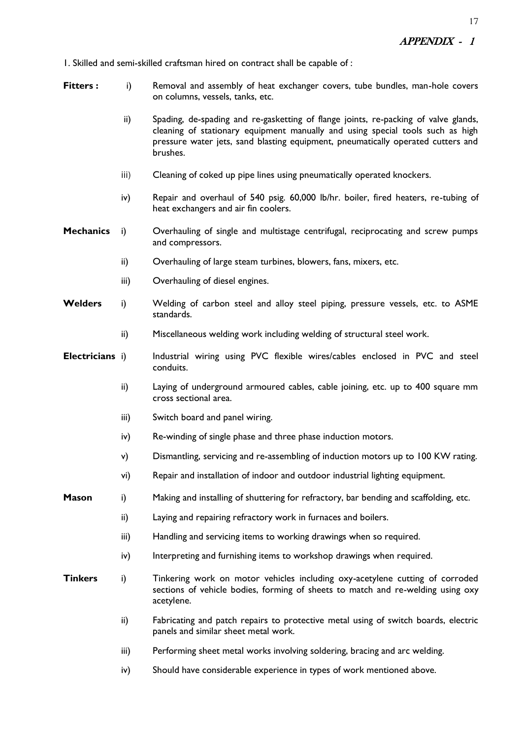1. Skilled and semi-skilled craftsman hired on contract shall be capable of :

- **Fitters :** i) Removal and assembly of heat exchanger covers, tube bundles, man-hole covers on columns, vessels, tanks, etc.
	- ii) Spading, de-spading and re-gasketting of flange joints, re-packing of valve glands, cleaning of stationary equipment manually and using special tools such as high pressure water jets, sand blasting equipment, pneumatically operated cutters and brushes.
	- iii) Cleaning of coked up pipe lines using pneumatically operated knockers.
	- iv) Repair and overhaul of 540 psig. 60,000 lb/hr. boiler, fired heaters, re-tubing of heat exchangers and air fin coolers.
- **Mechanics** i) Overhauling of single and multistage centrifugal, reciprocating and screw pumps and compressors.
	- ii) Overhauling of large steam turbines, blowers, fans, mixers, etc.
	- iii) Overhauling of diesel engines.
- **Welders** i) Welding of carbon steel and alloy steel piping, pressure vessels, etc. to ASME standards.
	- ii) Miscellaneous welding work including welding of structural steel work.
- **Electricians** i) Industrial wiring using PVC flexible wires/cables enclosed in PVC and steel conduits.
	- ii) Laying of underground armoured cables, cable joining, etc. up to 400 square mm cross sectional area.
	- iii) Switch board and panel wiring.
	- iv) Re-winding of single phase and three phase induction motors.
	- v) Dismantling, servicing and re-assembling of induction motors up to 100 KW rating.
	- vi) Repair and installation of indoor and outdoor industrial lighting equipment.
- **Mason** i) Making and installing of shuttering for refractory, bar bending and scaffolding, etc.
	- ii) Laying and repairing refractory work in furnaces and boilers.
	- iii) Handling and servicing items to working drawings when so required.
	- iv) Interpreting and furnishing items to workshop drawings when required.
- **Tinkers** i) Tinkering work on motor vehicles including oxy-acetylene cutting of corroded sections of vehicle bodies, forming of sheets to match and re-welding using oxy acetylene.
	- ii) Fabricating and patch repairs to protective metal using of switch boards, electric panels and similar sheet metal work.
	- iii) Performing sheet metal works involving soldering, bracing and arc welding.
	- iv) Should have considerable experience in types of work mentioned above.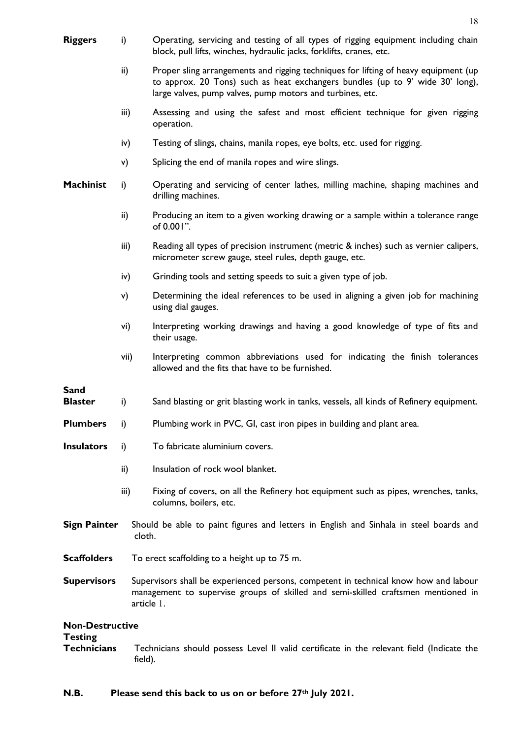| <b>Riggers</b>                       | i)      | Operating, servicing and testing of all types of rigging equipment including chain<br>block, pull lifts, winches, hydraulic jacks, forklifts, cranes, etc.                                                                        |
|--------------------------------------|---------|-----------------------------------------------------------------------------------------------------------------------------------------------------------------------------------------------------------------------------------|
|                                      | ii)     | Proper sling arrangements and rigging techniques for lifting of heavy equipment (up<br>to approx. 20 Tons) such as heat exchangers bundles (up to 9' wide 30' long),<br>large valves, pump valves, pump motors and turbines, etc. |
|                                      | iii)    | Assessing and using the safest and most efficient technique for given rigging<br>operation.                                                                                                                                       |
|                                      | iv)     | Testing of slings, chains, manila ropes, eye bolts, etc. used for rigging.                                                                                                                                                        |
|                                      | v)      | Splicing the end of manila ropes and wire slings.                                                                                                                                                                                 |
| <b>Machinist</b>                     | i)      | Operating and servicing of center lathes, milling machine, shaping machines and<br>drilling machines.                                                                                                                             |
|                                      | ii)     | Producing an item to a given working drawing or a sample within a tolerance range<br>of 0.001".                                                                                                                                   |
|                                      | iii)    | Reading all types of precision instrument (metric & inches) such as vernier calipers,<br>micrometer screw gauge, steel rules, depth gauge, etc.                                                                                   |
|                                      | iv)     | Grinding tools and setting speeds to suit a given type of job.                                                                                                                                                                    |
|                                      | v)      | Determining the ideal references to be used in aligning a given job for machining<br>using dial gauges.                                                                                                                           |
|                                      | vi)     | Interpreting working drawings and having a good knowledge of type of fits and<br>their usage.                                                                                                                                     |
|                                      | vii)    | Interpreting common abbreviations used for indicating the finish tolerances<br>allowed and the fits that have to be furnished.                                                                                                    |
| <b>Sand</b><br><b>Blaster</b>        | i)      | Sand blasting or grit blasting work in tanks, vessels, all kinds of Refinery equipment.                                                                                                                                           |
| <b>Plumbers</b>                      | i)      | Plumbing work in PVC, GI, cast iron pipes in building and plant area.                                                                                                                                                             |
| <b>Insulators</b>                    | i)      | To fabricate aluminium covers.                                                                                                                                                                                                    |
|                                      | ii)     | Insulation of rock wool blanket.                                                                                                                                                                                                  |
|                                      | iii)    | Fixing of covers, on all the Refinery hot equipment such as pipes, wrenches, tanks,<br>columns, boilers, etc.                                                                                                                     |
| <b>Sign Painter</b>                  | cloth.  | Should be able to paint figures and letters in English and Sinhala in steel boards and                                                                                                                                            |
| <b>Scaffolders</b>                   |         | To erect scaffolding to a height up to 75 m.                                                                                                                                                                                      |
| <b>Supervisors</b><br>article 1.     |         | Supervisors shall be experienced persons, competent in technical know how and labour<br>management to supervise groups of skilled and semi-skilled craftsmen mentioned in                                                         |
| <b>Non-Destructive</b>               |         |                                                                                                                                                                                                                                   |
| <b>Testing</b><br><b>Technicians</b> | field). | Technicians should possess Level II valid certificate in the relevant field (Indicate the                                                                                                                                         |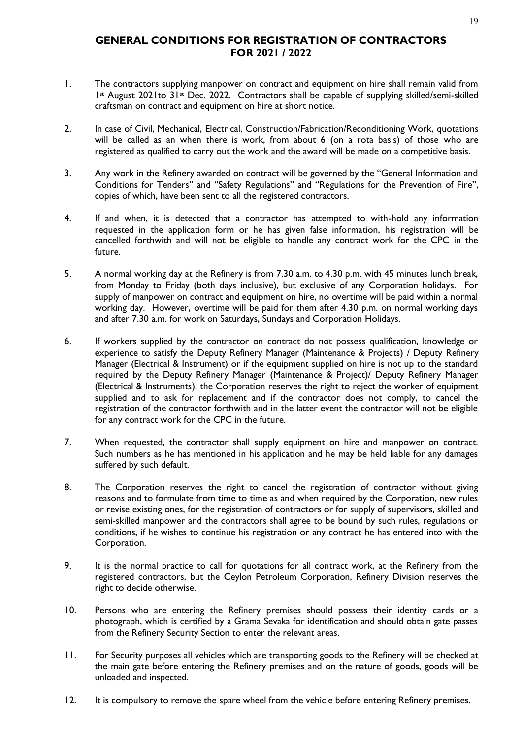#### **GENERAL CONDITIONS FOR REGISTRATION OF CONTRACTORS FOR 2021 / 2022**

- 1. The contractors supplying manpower on contract and equipment on hire shall remain valid from 1st August 2021to 31st Dec. 2022. Contractors shall be capable of supplying skilled/semi-skilled craftsman on contract and equipment on hire at short notice.
- 2. In case of Civil, Mechanical, Electrical, Construction/Fabrication/Reconditioning Work, quotations will be called as an when there is work, from about 6 (on a rota basis) of those who are registered as qualified to carry out the work and the award will be made on a competitive basis.
- 3. Any work in the Refinery awarded on contract will be governed by the "General Information and Conditions for Tenders" and "Safety Regulations" and "Regulations for the Prevention of Fire", copies of which, have been sent to all the registered contractors.
- 4. If and when, it is detected that a contractor has attempted to with-hold any information requested in the application form or he has given false information, his registration will be cancelled forthwith and will not be eligible to handle any contract work for the CPC in the future.
- 5. A normal working day at the Refinery is from 7.30 a.m. to 4.30 p.m. with 45 minutes lunch break, from Monday to Friday (both days inclusive), but exclusive of any Corporation holidays. For supply of manpower on contract and equipment on hire, no overtime will be paid within a normal working day. However, overtime will be paid for them after 4.30 p.m. on normal working days and after 7.30 a.m. for work on Saturdays, Sundays and Corporation Holidays.
- 6. If workers supplied by the contractor on contract do not possess qualification, knowledge or experience to satisfy the Deputy Refinery Manager (Maintenance & Projects) / Deputy Refinery Manager (Electrical & Instrument) or if the equipment supplied on hire is not up to the standard required by the Deputy Refinery Manager (Maintenance & Project)/ Deputy Refinery Manager (Electrical & Instruments), the Corporation reserves the right to reject the worker of equipment supplied and to ask for replacement and if the contractor does not comply, to cancel the registration of the contractor forthwith and in the latter event the contractor will not be eligible for any contract work for the CPC in the future.
- 7. When requested, the contractor shall supply equipment on hire and manpower on contract. Such numbers as he has mentioned in his application and he may be held liable for any damages suffered by such default.
- 8. The Corporation reserves the right to cancel the registration of contractor without giving reasons and to formulate from time to time as and when required by the Corporation, new rules or revise existing ones, for the registration of contractors or for supply of supervisors, skilled and semi-skilled manpower and the contractors shall agree to be bound by such rules, regulations or conditions, if he wishes to continue his registration or any contract he has entered into with the Corporation.
- 9. It is the normal practice to call for quotations for all contract work, at the Refinery from the registered contractors, but the Ceylon Petroleum Corporation, Refinery Division reserves the right to decide otherwise.
- 10. Persons who are entering the Refinery premises should possess their identity cards or a photograph, which is certified by a Grama Sevaka for identification and should obtain gate passes from the Refinery Security Section to enter the relevant areas.
- 11. For Security purposes all vehicles which are transporting goods to the Refinery will be checked at the main gate before entering the Refinery premises and on the nature of goods, goods will be unloaded and inspected.
- 12. It is compulsory to remove the spare wheel from the vehicle before entering Refinery premises.